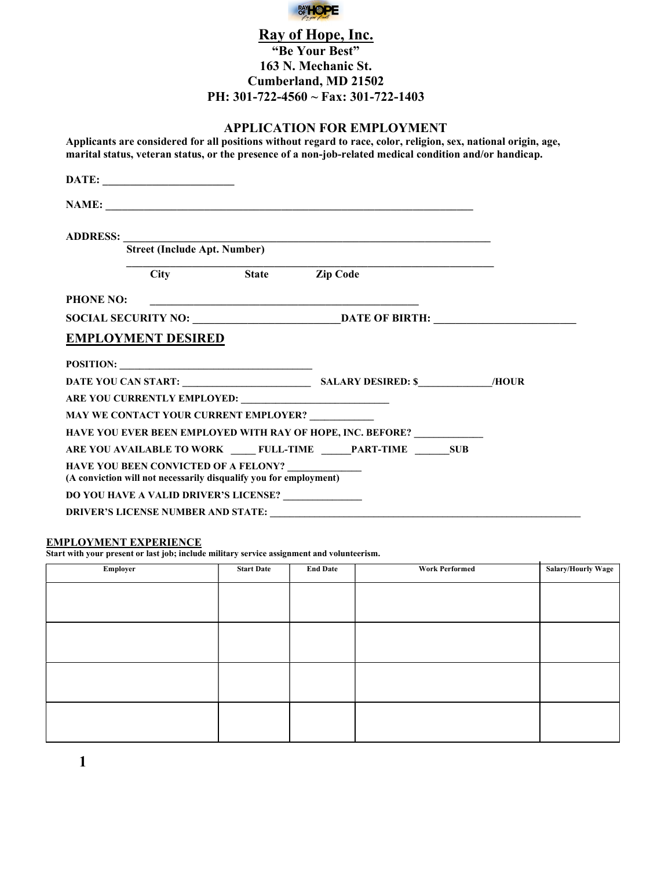

# Ray of Hope, Inc. "Be Your Best" 163 N. Mechanic St. Cumberland, MD 21502 PH: 301-722-4560 ~ Fax: 301-722-1403

## APPLICATION FOR EMPLOYMENT

Applicants are considered for all positions without regard to race, color, religion, sex, national origin, age, marital status, veteran status, or the presence of a non-job-related medical condition and/or handicap.

|                  | <b>Street (Include Apt. Number)</b> |                                                                                                                  |                                                            |  |
|------------------|-------------------------------------|------------------------------------------------------------------------------------------------------------------|------------------------------------------------------------|--|
|                  |                                     | City State Zip Code                                                                                              |                                                            |  |
| <b>PHONE NO:</b> |                                     |                                                                                                                  | <u> 1980 - Andrea Stadt Britain, amerikansk politik (</u>  |  |
|                  |                                     |                                                                                                                  |                                                            |  |
|                  | <b>EMPLOYMENT DESIRED</b>           |                                                                                                                  |                                                            |  |
|                  |                                     | POSITION:                                                                                                        |                                                            |  |
|                  |                                     |                                                                                                                  |                                                            |  |
|                  |                                     |                                                                                                                  |                                                            |  |
|                  |                                     | MAY WE CONTACT YOUR CURRENT EMPLOYER?                                                                            |                                                            |  |
|                  |                                     |                                                                                                                  | HAVE YOU EVER BEEN EMPLOYED WITH RAY OF HOPE, INC. BEFORE? |  |
|                  |                                     |                                                                                                                  | ARE YOU AVAILABLE TO WORK FULL-TIME PART-TIME SUB          |  |
|                  |                                     | <b>HAVE YOU BEEN CONVICTED OF A FELONY?</b><br>(A conviction will not necessarily disqualify you for employment) |                                                            |  |
|                  |                                     | DO YOU HAVE A VALID DRIVER'S LICENSE? _____________                                                              |                                                            |  |
|                  |                                     |                                                                                                                  |                                                            |  |

#### EMPLOYMENT EXPERIENCE

Start with your present or last job; include military service assignment and volunteerism.

| Employer | <b>Start Date</b> | <b>End Date</b> | <b>Work Performed</b> | <b>Salary/Hourly Wage</b> |
|----------|-------------------|-----------------|-----------------------|---------------------------|
|          |                   |                 |                       |                           |
|          |                   |                 |                       |                           |
|          |                   |                 |                       |                           |
|          |                   |                 |                       |                           |
|          |                   |                 |                       |                           |
|          |                   |                 |                       |                           |
|          |                   |                 |                       |                           |
|          |                   |                 |                       |                           |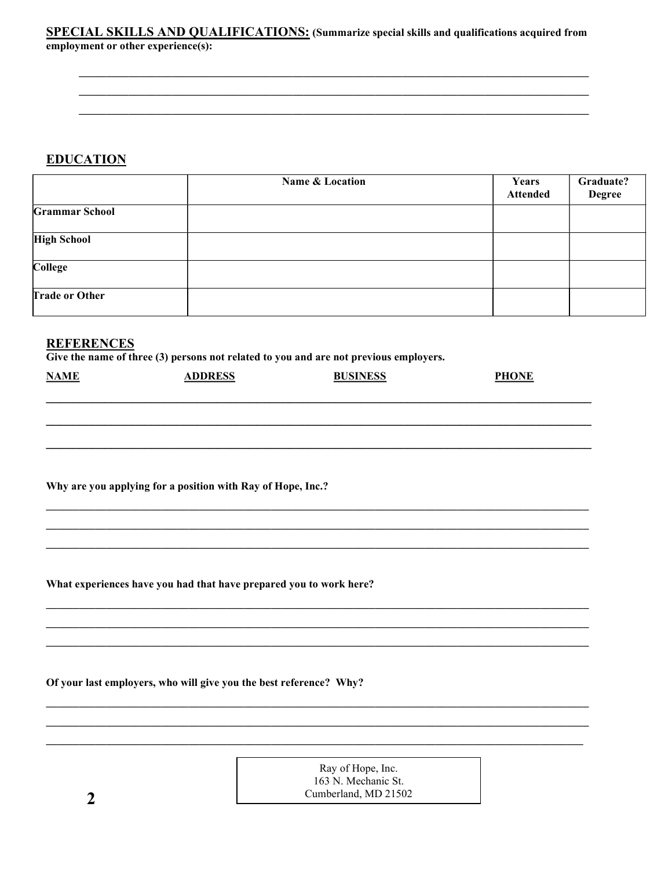### **SPECIAL SKILLS AND QUALIFICATIONS:** (Summarize special skills and qualifications acquired from employment or other experience(s):

# **EDUCATION**

|                       | Name & Location | Years<br><b>Attended</b> | Graduate?<br><b>Degree</b> |
|-----------------------|-----------------|--------------------------|----------------------------|
| <b>Grammar School</b> |                 |                          |                            |
| <b>High School</b>    |                 |                          |                            |
| College               |                 |                          |                            |
| <b>Trade or Other</b> |                 |                          |                            |

## **REFERENCES**

Give the name of three (3) persons not related to you and are not previous employers.

| <b>NAME</b> | ADDRESS | <b>BUSINESS</b> | <b>PHONE</b> |
|-------------|---------|-----------------|--------------|
|             |         |                 |              |

Why are you applying for a position with Ray of Hope, Inc.?

What experiences have you had that have prepared you to work here?

Of your last employers, who will give you the best reference? Why?

Ray of Hope, Inc. 163 N. Mechanic St. Cumberland, MD 21502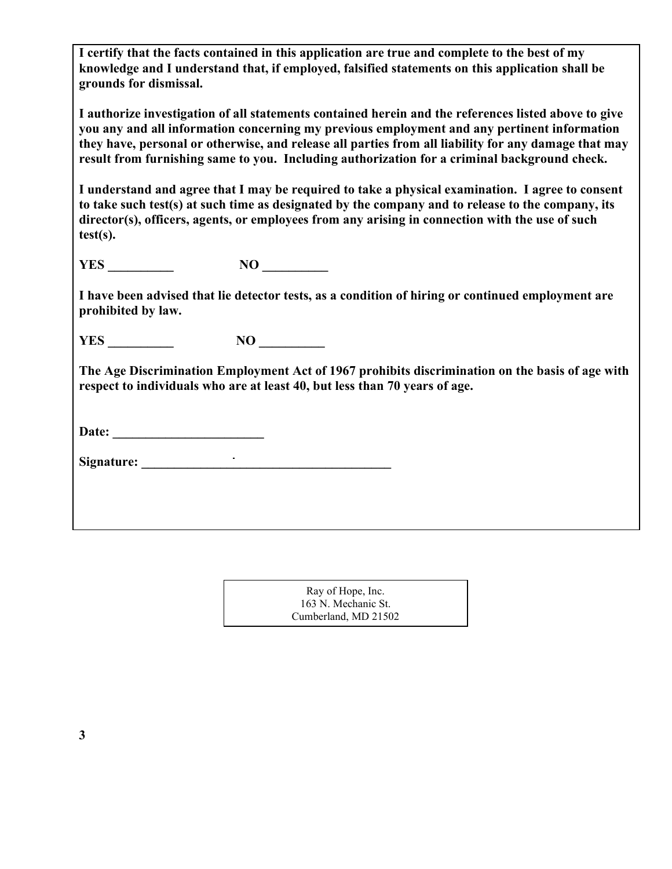I certify that the facts contained in this application are true and complete to the best of my knowledge and I understand that, if employed, falsified statements on this application shall be grounds for dismissal.

I authorize investigation of all statements contained herein and the references listed above to give you any and all information concerning my previous employment and any pertinent information they have, personal or otherwise, and release all parties from all liability for any damage that may result from furnishing same to you. Including authorization for a criminal background check.

I understand and agree that I may be required to take a physical examination. I agree to consent to take such test(s) at such time as designated by the company and to release to the company, its director(s), officers, agents, or employees from any arising in connection with the use of such test(s).

YES \_\_\_\_\_\_\_\_\_\_ NO \_\_\_\_\_\_\_\_\_\_

I have been advised that lie detector tests, as a condition of hiring or continued employment are prohibited by law.

YES NO

The Age Discrimination Employment Act of 1967 prohibits discrimination on the basis of age with respect to individuals who are at least 40, but less than 70 years of age.

| Date: |
|-------|
|-------|

Signature:  $\blacksquare$ 

| Ray of Hope, Inc.    |  |
|----------------------|--|
| 163 N. Mechanic St.  |  |
| Cumberland, MD 21502 |  |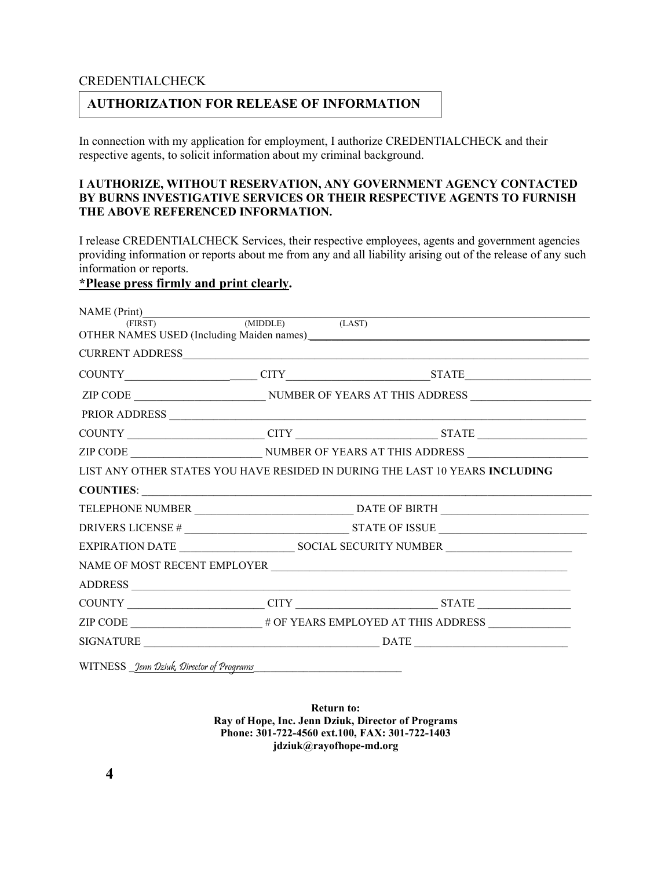### CREDENTIALCHECK

## AUTHORIZATION FOR RELEASE OF INFORMATION

In connection with my application for employment, I authorize CREDENTIALCHECK and their respective agents, to solicit information about my criminal background.

### I AUTHORIZE, WITHOUT RESERVATION, ANY GOVERNMENT AGENCY CONTACTED BY BURNS INVESTIGATIVE SERVICES OR THEIR RESPECTIVE AGENTS TO FURNISH THE ABOVE REFERENCED INFORMATION.

I release CREDENTIALCHECK Services, their respective employees, agents and government agencies providing information or reports about me from any and all liability arising out of the release of any such information or reports.

# \*Please press firmly and print clearly.

| NAME $(Print)$ (MIDDLE) | (LAST) |                                                                                     |
|-------------------------|--------|-------------------------------------------------------------------------------------|
|                         |        |                                                                                     |
|                         |        |                                                                                     |
|                         |        |                                                                                     |
| PRIOR ADDRESS           |        |                                                                                     |
|                         |        |                                                                                     |
|                         |        |                                                                                     |
|                         |        | LIST ANY OTHER STATES YOU HAVE RESIDED IN DURING THE LAST 10 YEARS <b>INCLUDING</b> |
|                         |        |                                                                                     |
|                         |        |                                                                                     |
|                         |        |                                                                                     |
|                         |        |                                                                                     |
|                         |        |                                                                                     |
|                         |        |                                                                                     |
|                         |        |                                                                                     |
| ADDRESS                 |        | $COUNTY$ $CITY$ $CITY$ $STATE$ $STATE$                                              |
|                         |        |                                                                                     |

Return to: Ray of Hope, Inc. Jenn Dziuk, Director of Programs Phone: 301-722-4560 ext.100, FAX: 301-722-1403 jdziuk@rayofhope-md.org